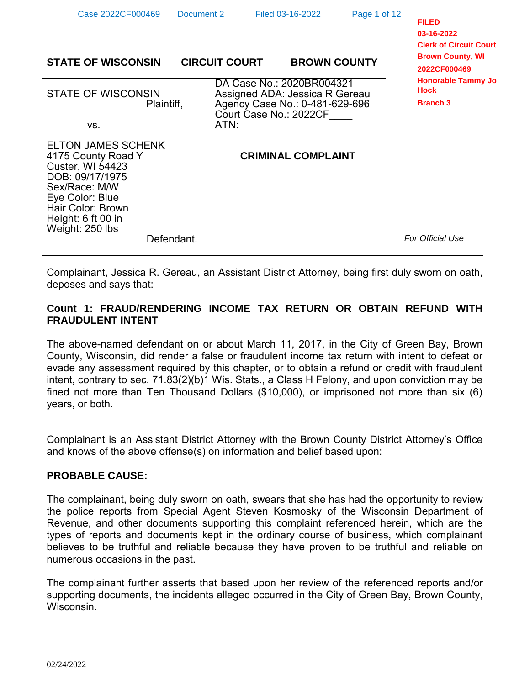| Case 2022CF000469                                                                                                                                                                               | Document 2           | Filed 03-16-2022                                                                                                        | Page 1 of 12 | <b>FILED</b><br>03-16-2022<br><b>Clerk of Circuit Court</b> |
|-------------------------------------------------------------------------------------------------------------------------------------------------------------------------------------------------|----------------------|-------------------------------------------------------------------------------------------------------------------------|--------------|-------------------------------------------------------------|
| <b>STATE OF WISCONSIN</b>                                                                                                                                                                       | <b>CIRCUIT COURT</b> | <b>BROWN COUNTY</b>                                                                                                     |              | <b>Brown County, WI</b><br>2022CF000469                     |
| <b>STATE OF WISCONSIN</b><br>Plaintiff,                                                                                                                                                         |                      | DA Case No.: 2020BR004321<br>Assigned ADA: Jessica R Gereau<br>Agency Case No.: 0-481-629-696<br>Court Case No.: 2022CF |              | <b>Honorable Tammy Jo</b><br><b>Hock</b><br><b>Branch 3</b> |
| VS.                                                                                                                                                                                             | ATN:                 |                                                                                                                         |              |                                                             |
| <b>ELTON JAMES SCHENK</b><br>4175 County Road Y<br><b>Custer, WI 54423</b><br>DOB: 09/17/1975<br>Sex/Race: M/W<br>Eye Color: Blue<br>Hair Color: Brown<br>Height: 6 ft 00 in<br>Weight: 250 lbs |                      | <b>CRIMINAL COMPLAINT</b>                                                                                               |              |                                                             |
| Defendant.                                                                                                                                                                                      |                      |                                                                                                                         |              | For Official Use                                            |

Complainant, Jessica R. Gereau, an Assistant District Attorney, being first duly sworn on oath, deposes and says that:

# **Count 1: FRAUD/RENDERING INCOME TAX RETURN OR OBTAIN REFUND WITH FRAUDULENT INTENT**

The above-named defendant on or about March 11, 2017, in the City of Green Bay, Brown County, Wisconsin, did render a false or fraudulent income tax return with intent to defeat or evade any assessment required by this chapter, or to obtain a refund or credit with fraudulent intent, contrary to sec. 71.83(2)(b)1 Wis. Stats., a Class H Felony, and upon conviction may be fined not more than Ten Thousand Dollars (\$10,000), or imprisoned not more than six (6) years, or both.

Complainant is an Assistant District Attorney with the Brown County District Attorney's Office and knows of the above offense(s) on information and belief based upon:

# **PROBABLE CAUSE:**

The complainant, being duly sworn on oath, swears that she has had the opportunity to review the police reports from Special Agent Steven Kosmosky of the Wisconsin Department of Revenue, and other documents supporting this complaint referenced herein, which are the types of reports and documents kept in the ordinary course of business, which complainant believes to be truthful and reliable because they have proven to be truthful and reliable on numerous occasions in the past.

The complainant further asserts that based upon her review of the referenced reports and/or supporting documents, the incidents alleged occurred in the City of Green Bay, Brown County, Wisconsin.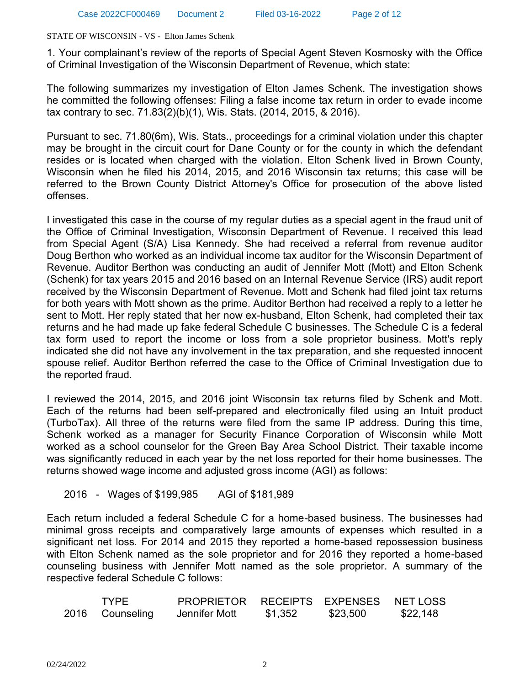1. Your complainant's review of the reports of Special Agent Steven Kosmosky with the Office of Criminal Investigation of the Wisconsin Department of Revenue, which state:

The following summarizes my investigation of Elton James Schenk. The investigation shows he committed the following offenses: Filing a false income tax return in order to evade income tax contrary to sec. 71.83(2)(b)(1), Wis. Stats. (2014, 2015, & 2016).

Pursuant to sec. 71.80(6m), Wis. Stats., proceedings for a criminal violation under this chapter may be brought in the circuit court for Dane County or for the county in which the defendant resides or is located when charged with the violation. Elton Schenk lived in Brown County, Wisconsin when he filed his 2014, 2015, and 2016 Wisconsin tax returns; this case will be referred to the Brown County District Attorney's Office for prosecution of the above listed offenses.

I investigated this case in the course of my regular duties as a special agent in the fraud unit of the Office of Criminal Investigation, Wisconsin Department of Revenue. I received this lead from Special Agent (S/A) Lisa Kennedy. She had received a referral from revenue auditor Doug Berthon who worked as an individual income tax auditor for the Wisconsin Department of Revenue. Auditor Berthon was conducting an audit of Jennifer Mott (Mott) and Elton Schenk (Schenk) for tax years 2015 and 2016 based on an Internal Revenue Service (IRS) audit report received by the Wisconsin Department of Revenue. Mott and Schenk had filed joint tax returns for both years with Mott shown as the prime. Auditor Berthon had received a reply to a letter he sent to Mott. Her reply stated that her now ex-husband, Elton Schenk, had completed their tax returns and he had made up fake federal Schedule C businesses. The Schedule C is a federal tax form used to report the income or loss from a sole proprietor business. Mott's reply indicated she did not have any involvement in the tax preparation, and she requested innocent spouse relief. Auditor Berthon referred the case to the Office of Criminal Investigation due to the reported fraud.

I reviewed the 2014, 2015, and 2016 joint Wisconsin tax returns filed by Schenk and Mott. Each of the returns had been self-prepared and electronically filed using an Intuit product (TurboTax). All three of the returns were filed from the same IP address. During this time, Schenk worked as a manager for Security Finance Corporation of Wisconsin while Mott worked as a school counselor for the Green Bay Area School District. Their taxable income was significantly reduced in each year by the net loss reported for their home businesses. The returns showed wage income and adjusted gross income (AGI) as follows:

## 2016 - Wages of \$199,985 AGI of \$181,989

Each return included a federal Schedule C for a home-based business. The businesses had minimal gross receipts and comparatively large amounts of expenses which resulted in a significant net loss. For 2014 and 2015 they reported a home-based repossession business with Elton Schenk named as the sole proprietor and for 2016 they reported a home-based counseling business with Jennifer Mott named as the sole proprietor. A summary of the respective federal Schedule C follows:

| <b>TYPF</b>     | PROPRIETOR RECEIPTS EXPENSES NETLOSS |         |          |          |
|-----------------|--------------------------------------|---------|----------|----------|
| 2016 Counseling | Jennifer Mott                        | \$1,352 | \$23,500 | \$22,148 |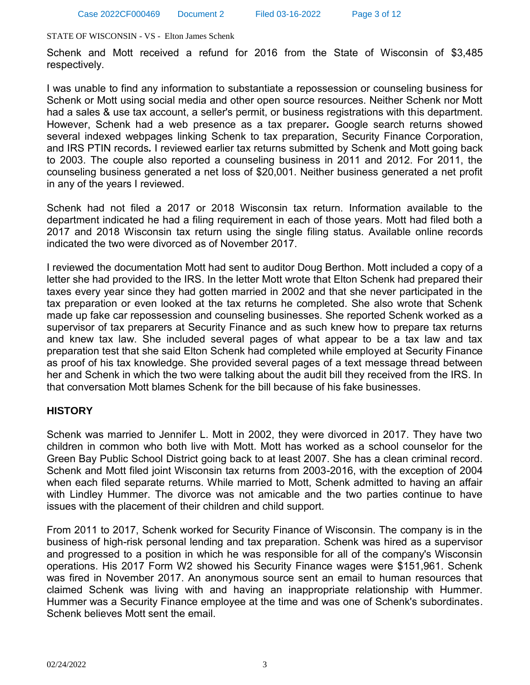Schenk and Mott received a refund for 2016 from the State of Wisconsin of \$3,485 respectively.

I was unable to find any information to substantiate a repossession or counseling business for Schenk or Mott using social media and other open source resources. Neither Schenk nor Mott had a sales & use tax account, a seller's permit, or business registrations with this department. However, Schenk had a web presence as a tax preparer*.* Google search returns showed several indexed webpages linking Schenk to tax preparation, Security Finance Corporation, and IRS PTIN records*.* I reviewed earlier tax returns submitted by Schenk and Mott going back to 2003. The couple also reported a counseling business in 2011 and 2012. For 2011, the counseling business generated a net loss of \$20,001. Neither business generated a net profit in any of the years I reviewed.

Schenk had not filed a 2017 or 2018 Wisconsin tax return. Information available to the department indicated he had a filing requirement in each of those years. Mott had filed both a 2017 and 2018 Wisconsin tax return using the single filing status. Available online records indicated the two were divorced as of November 2017.

I reviewed the documentation Mott had sent to auditor Doug Berthon. Mott included a copy of a letter she had provided to the IRS. In the letter Mott wrote that Elton Schenk had prepared their taxes every year since they had gotten married in 2002 and that she never participated in the tax preparation or even looked at the tax returns he completed. She also wrote that Schenk made up fake car repossession and counseling businesses. She reported Schenk worked as a supervisor of tax preparers at Security Finance and as such knew how to prepare tax returns and knew tax law. She included several pages of what appear to be a tax law and tax preparation test that she said Elton Schenk had completed while employed at Security Finance as proof of his tax knowledge. She provided several pages of a text message thread between her and Schenk in which the two were talking about the audit bill they received from the IRS. In that conversation Mott blames Schenk for the bill because of his fake businesses.

# **HISTORY**

Schenk was married to Jennifer L. Mott in 2002, they were divorced in 2017. They have two children in common who both live with Mott. Mott has worked as a school counselor for the Green Bay Public School District going back to at least 2007. She has a clean criminal record. Schenk and Mott filed joint Wisconsin tax returns from 2003-2016, with the exception of 2004 when each filed separate returns. While married to Mott, Schenk admitted to having an affair with Lindley Hummer. The divorce was not amicable and the two parties continue to have issues with the placement of their children and child support.

From 2011 to 2017, Schenk worked for Security Finance of Wisconsin. The company is in the business of high-risk personal lending and tax preparation. Schenk was hired as a supervisor and progressed to a position in which he was responsible for all of the company's Wisconsin operations. His 2017 Form W2 showed his Security Finance wages were \$151,961. Schenk was fired in November 2017. An anonymous source sent an email to human resources that claimed Schenk was living with and having an inappropriate relationship with Hummer. Hummer was a Security Finance employee at the time and was one of Schenk's subordinates. Schenk believes Mott sent the email.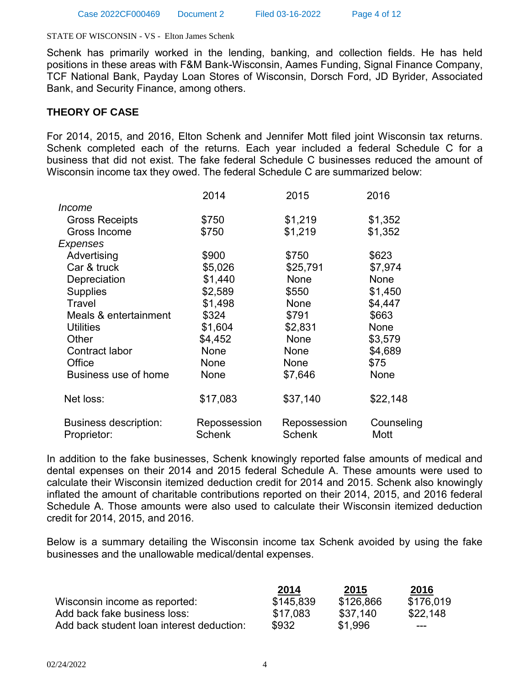Schenk has primarily worked in the lending, banking, and collection fields. He has held positions in these areas with F&M Bank-Wisconsin, Aames Funding, Signal Finance Company, TCF National Bank, Payday Loan Stores of Wisconsin, Dorsch Ford, JD Byrider, Associated Bank, and Security Finance, among others.

## **THEORY OF CASE**

For 2014, 2015, and 2016, Elton Schenk and Jennifer Mott filed joint Wisconsin tax returns. Schenk completed each of the returns. Each year included a federal Schedule C for a business that did not exist. The fake federal Schedule C businesses reduced the amount of Wisconsin income tax they owed. The federal Schedule C are summarized below:

|                                             | 2014                          | 2015                          | 2016               |
|---------------------------------------------|-------------------------------|-------------------------------|--------------------|
| <i>Income</i>                               |                               |                               |                    |
| <b>Gross Receipts</b>                       | \$750                         | \$1,219                       | \$1,352            |
| Gross Income                                | \$750                         | \$1,219                       | \$1,352            |
| Expenses                                    |                               |                               |                    |
| Advertising                                 | \$900                         | \$750                         | \$623              |
| Car & truck                                 | \$5,026                       | \$25,791                      | \$7,974            |
| Depreciation                                | \$1,440                       | None                          | None               |
| <b>Supplies</b>                             | \$2,589                       | \$550                         | \$1,450            |
| Travel                                      | \$1,498                       | None                          | \$4,447            |
| Meals & entertainment                       | \$324                         | \$791                         | \$663              |
| <b>Utilities</b>                            | \$1,604                       | \$2,831                       | None               |
| Other                                       | \$4,452                       | None                          | \$3,579            |
| Contract labor                              | None                          | None                          | \$4,689            |
| Office                                      | None                          | None                          | \$75               |
| Business use of home                        | None                          | \$7,646                       | None               |
| Net loss:                                   | \$17,083                      | \$37,140                      | \$22,148           |
| <b>Business description:</b><br>Proprietor: | Repossession<br><b>Schenk</b> | Repossession<br><b>Schenk</b> | Counseling<br>Mott |

In addition to the fake businesses, Schenk knowingly reported false amounts of medical and dental expenses on their 2014 and 2015 federal Schedule A. These amounts were used to calculate their Wisconsin itemized deduction credit for 2014 and 2015. Schenk also knowingly inflated the amount of charitable contributions reported on their 2014, 2015, and 2016 federal Schedule A. Those amounts were also used to calculate their Wisconsin itemized deduction credit for 2014, 2015, and 2016.

Below is a summary detailing the Wisconsin income tax Schenk avoided by using the fake businesses and the unallowable medical/dental expenses.

|                                           | 2014      | 2015      | 2016      |
|-------------------------------------------|-----------|-----------|-----------|
| Wisconsin income as reported:             | \$145,839 | \$126,866 | \$176.019 |
| Add back fake business loss:              | \$17.083  | \$37.140  | \$22,148  |
| Add back student loan interest deduction: | \$932     | \$1,996   | $--$      |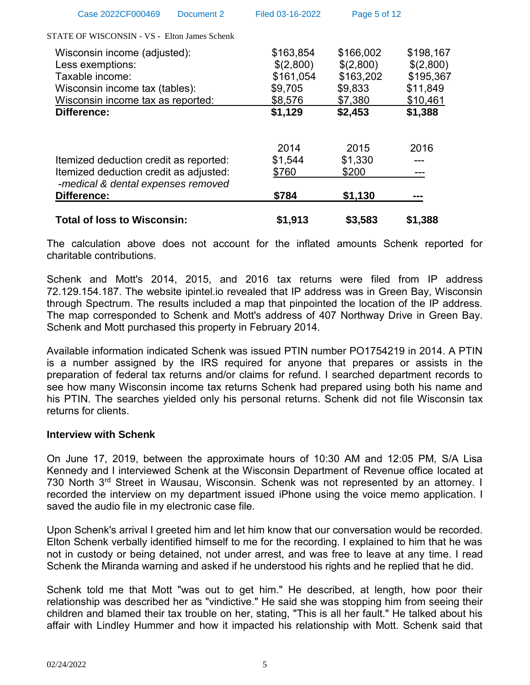| Total of loss to Wisconsin:                  | \$1.913          | \$3.583      | \$1.388   |
|----------------------------------------------|------------------|--------------|-----------|
| Difference:                                  | \$784            | \$1,130      |           |
| -medical & dental expenses removed           |                  |              |           |
| Itemized deduction credit as adjusted:       | \$760            | \$200        |           |
| Itemized deduction credit as reported:       | \$1,544          | \$1,330      |           |
|                                              | 2014             | 2015         | 2016      |
| Difference:                                  | \$1,129          | \$2,453      | \$1,388   |
| Wisconsin income tax as reported:            | \$8,576          | \$7,380      | \$10,461  |
| Wisconsin income tax (tables):               | \$9,705          | \$9,833      | \$11,849  |
| Taxable income:                              | \$161,054        | \$163,202    | \$195,367 |
| Less exemptions:                             | \$(2,800)        | \$(2,800)    | \$(2,800) |
| Wisconsin income (adjusted):                 | \$163,854        | \$166,002    | \$198,167 |
| STATE OF WISCONSIN - VS - Elton James Schenk |                  |              |           |
| Case 2022CF000469<br>Document 2              | Filed 03-16-2022 | Page 5 of 12 |           |
|                                              |                  |              |           |

The calculation above does not account for the inflated amounts Schenk reported for charitable contributions.

Schenk and Mott's 2014, 2015, and 2016 tax returns were filed from IP address 72.129.154.187. The website ipintel.io revealed that IP address was in Green Bay, Wisconsin through Spectrum. The results included a map that pinpointed the location of the IP address. The map corresponded to Schenk and Mott's address of 407 Northway Drive in Green Bay. Schenk and Mott purchased this property in February 2014.

Available information indicated Schenk was issued PTIN number PO1754219 in 2014. A PTIN is a number assigned by the IRS required for anyone that prepares or assists in the preparation of federal tax returns and/or claims for refund. I searched department records to see how many Wisconsin income tax returns Schenk had prepared using both his name and his PTIN. The searches yielded only his personal returns. Schenk did not file Wisconsin tax returns for clients.

## **Interview with Schenk**

On June 17, 2019, between the approximate hours of 10:30 AM and 12:05 PM, S/A Lisa Kennedy and I interviewed Schenk at the Wisconsin Department of Revenue office located at 730 North 3rd Street in Wausau, Wisconsin. Schenk was not represented by an attorney. I recorded the interview on my department issued iPhone using the voice memo application. I saved the audio file in my electronic case file.

Upon Schenk's arrival I greeted him and let him know that our conversation would be recorded. Elton Schenk verbally identified himself to me for the recording. I explained to him that he was not in custody or being detained, not under arrest, and was free to leave at any time. I read Schenk the Miranda warning and asked if he understood his rights and he replied that he did.

Schenk told me that Mott "was out to get him." He described, at length, how poor their relationship was described her as "vindictive." He said she was stopping him from seeing their children and blamed their tax trouble on her, stating, "This is all her fault." He talked about his affair with Lindley Hummer and how it impacted his relationship with Mott. Schenk said that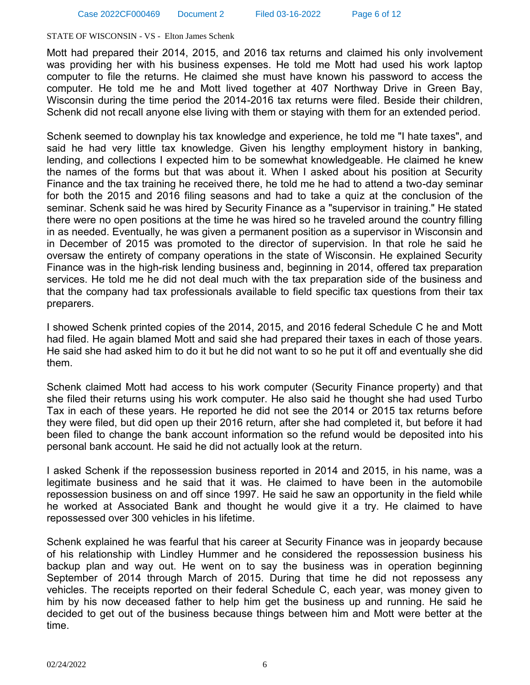Mott had prepared their 2014, 2015, and 2016 tax returns and claimed his only involvement was providing her with his business expenses. He told me Mott had used his work laptop computer to file the returns. He claimed she must have known his password to access the computer. He told me he and Mott lived together at 407 Northway Drive in Green Bay, Wisconsin during the time period the 2014-2016 tax returns were filed. Beside their children, Schenk did not recall anyone else living with them or staying with them for an extended period.

Schenk seemed to downplay his tax knowledge and experience, he told me "I hate taxes", and said he had very little tax knowledge. Given his lengthy employment history in banking, lending, and collections I expected him to be somewhat knowledgeable. He claimed he knew the names of the forms but that was about it. When I asked about his position at Security Finance and the tax training he received there, he told me he had to attend a two-day seminar for both the 2015 and 2016 filing seasons and had to take a quiz at the conclusion of the seminar. Schenk said he was hired by Security Finance as a "supervisor in training." He stated there were no open positions at the time he was hired so he traveled around the country filling in as needed. Eventually, he was given a permanent position as a supervisor in Wisconsin and in December of 2015 was promoted to the director of supervision. In that role he said he oversaw the entirety of company operations in the state of Wisconsin. He explained Security Finance was in the high-risk lending business and, beginning in 2014, offered tax preparation services. He told me he did not deal much with the tax preparation side of the business and that the company had tax professionals available to field specific tax questions from their tax preparers.

I showed Schenk printed copies of the 2014, 2015, and 2016 federal Schedule C he and Mott had filed. He again blamed Mott and said she had prepared their taxes in each of those years. He said she had asked him to do it but he did not want to so he put it off and eventually she did them.

Schenk claimed Mott had access to his work computer (Security Finance property) and that she filed their returns using his work computer. He also said he thought she had used Turbo Tax in each of these years. He reported he did not see the 2014 or 2015 tax returns before they were filed, but did open up their 2016 return, after she had completed it, but before it had been filed to change the bank account information so the refund would be deposited into his personal bank account. He said he did not actually look at the return.

I asked Schenk if the repossession business reported in 2014 and 2015, in his name, was a legitimate business and he said that it was. He claimed to have been in the automobile repossession business on and off since 1997. He said he saw an opportunity in the field while he worked at Associated Bank and thought he would give it a try. He claimed to have repossessed over 300 vehicles in his lifetime.

Schenk explained he was fearful that his career at Security Finance was in jeopardy because of his relationship with Lindley Hummer and he considered the repossession business his backup plan and way out. He went on to say the business was in operation beginning September of 2014 through March of 2015. During that time he did not repossess any vehicles. The receipts reported on their federal Schedule C, each year, was money given to him by his now deceased father to help him get the business up and running. He said he decided to get out of the business because things between him and Mott were better at the time.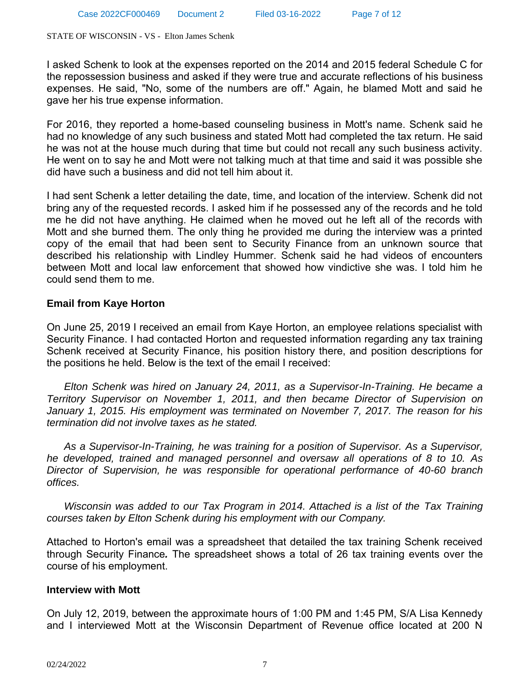I asked Schenk to look at the expenses reported on the 2014 and 2015 federal Schedule C for the repossession business and asked if they were true and accurate reflections of his business expenses. He said, "No, some of the numbers are off." Again, he blamed Mott and said he gave her his true expense information.

For 2016, they reported a home-based counseling business in Mott's name. Schenk said he had no knowledge of any such business and stated Mott had completed the tax return. He said he was not at the house much during that time but could not recall any such business activity. He went on to say he and Mott were not talking much at that time and said it was possible she did have such a business and did not tell him about it.

I had sent Schenk a letter detailing the date, time, and location of the interview. Schenk did not bring any of the requested records. I asked him if he possessed any of the records and he told me he did not have anything. He claimed when he moved out he left all of the records with Mott and she burned them. The only thing he provided me during the interview was a printed copy of the email that had been sent to Security Finance from an unknown source that described his relationship with Lindley Hummer. Schenk said he had videos of encounters between Mott and local law enforcement that showed how vindictive she was. I told him he could send them to me.

# **Email from Kaye Horton**

On June 25, 2019 I received an email from Kaye Horton, an employee relations specialist with Security Finance. I had contacted Horton and requested information regarding any tax training Schenk received at Security Finance, his position history there, and position descriptions for the positions he held. Below is the text of the email I received:

 *Elton Schenk was hired on January 24, 2011, as a Supervisor-In-Training. He became a Territory Supervisor on November 1, 2011, and then became Director of Supervision on January 1, 2015. His employment was terminated on November 7, 2017. The reason for his termination did not involve taxes as he stated.* 

 *As a Supervisor-In-Training, he was training for a position of Supervisor. As a Supervisor, he developed, trained and managed personnel and oversaw all operations of 8 to 10. As Director of Supervision, he was responsible for operational performance of 40-60 branch offices.* 

 *Wisconsin was added to our Tax Program in 2014. Attached is a list of the Tax Training courses taken by Elton Schenk during his employment with our Company.* 

Attached to Horton's email was a spreadsheet that detailed the tax training Schenk received through Security Finance*.* The spreadsheet shows a total of 26 tax training events over the course of his employment.

## **Interview with Mott**

On July 12, 2019, between the approximate hours of 1:00 PM and 1:45 PM, S/A Lisa Kennedy and I interviewed Mott at the Wisconsin Department of Revenue office located at 200 N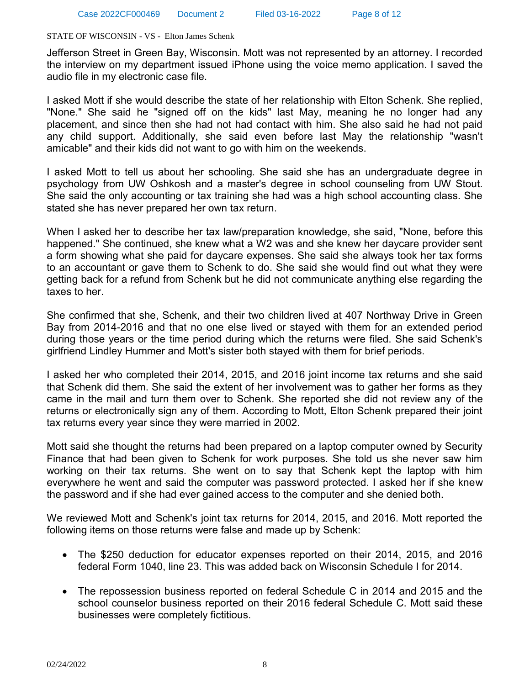Jefferson Street in Green Bay, Wisconsin. Mott was not represented by an attorney. I recorded the interview on my department issued iPhone using the voice memo application. I saved the audio file in my electronic case file.

I asked Mott if she would describe the state of her relationship with Elton Schenk. She replied, "None." She said he "signed off on the kids" last May, meaning he no longer had any placement, and since then she had not had contact with him. She also said he had not paid any child support. Additionally, she said even before last May the relationship "wasn't amicable" and their kids did not want to go with him on the weekends.

I asked Mott to tell us about her schooling. She said she has an undergraduate degree in psychology from UW Oshkosh and a master's degree in school counseling from UW Stout. She said the only accounting or tax training she had was a high school accounting class. She stated she has never prepared her own tax return.

When I asked her to describe her tax law/preparation knowledge, she said, "None, before this happened." She continued, she knew what a W2 was and she knew her daycare provider sent a form showing what she paid for daycare expenses. She said she always took her tax forms to an accountant or gave them to Schenk to do. She said she would find out what they were getting back for a refund from Schenk but he did not communicate anything else regarding the taxes to her.

She confirmed that she, Schenk, and their two children lived at 407 Northway Drive in Green Bay from 2014-2016 and that no one else lived or stayed with them for an extended period during those years or the time period during which the returns were filed. She said Schenk's girlfriend Lindley Hummer and Mott's sister both stayed with them for brief periods.

I asked her who completed their 2014, 2015, and 2016 joint income tax returns and she said that Schenk did them. She said the extent of her involvement was to gather her forms as they came in the mail and turn them over to Schenk. She reported she did not review any of the returns or electronically sign any of them. According to Mott, Elton Schenk prepared their joint tax returns every year since they were married in 2002.

Mott said she thought the returns had been prepared on a laptop computer owned by Security Finance that had been given to Schenk for work purposes. She told us she never saw him working on their tax returns. She went on to say that Schenk kept the laptop with him everywhere he went and said the computer was password protected. I asked her if she knew the password and if she had ever gained access to the computer and she denied both.

We reviewed Mott and Schenk's joint tax returns for 2014, 2015, and 2016. Mott reported the following items on those returns were false and made up by Schenk:

- The \$250 deduction for educator expenses reported on their 2014, 2015, and 2016 federal Form 1040, line 23. This was added back on Wisconsin Schedule I for 2014.
- The repossession business reported on federal Schedule C in 2014 and 2015 and the school counselor business reported on their 2016 federal Schedule C. Mott said these businesses were completely fictitious.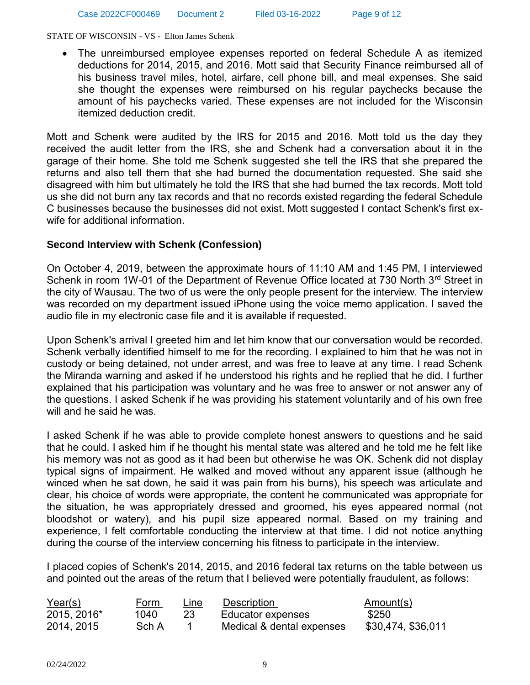The unreimbursed employee expenses reported on federal Schedule A as itemized deductions for 2014, 2015, and 2016. Mott said that Security Finance reimbursed all of his business travel miles, hotel, airfare, cell phone bill, and meal expenses. She said she thought the expenses were reimbursed on his regular paychecks because the amount of his paychecks varied. These expenses are not included for the Wisconsin itemized deduction credit.

Mott and Schenk were audited by the IRS for 2015 and 2016. Mott told us the day they received the audit letter from the IRS, she and Schenk had a conversation about it in the garage of their home. She told me Schenk suggested she tell the IRS that she prepared the returns and also tell them that she had burned the documentation requested. She said she disagreed with him but ultimately he told the IRS that she had burned the tax records. Mott told us she did not burn any tax records and that no records existed regarding the federal Schedule C businesses because the businesses did not exist. Mott suggested I contact Schenk's first exwife for additional information.

## **Second Interview with Schenk (Confession)**

On October 4, 2019, between the approximate hours of 11:10 AM and 1:45 PM, I interviewed Schenk in room 1W-01 of the Department of Revenue Office located at 730 North 3<sup>rd</sup> Street in the city of Wausau. The two of us were the only people present for the interview. The interview was recorded on my department issued iPhone using the voice memo application. I saved the audio file in my electronic case file and it is available if requested.

Upon Schenk's arrival I greeted him and let him know that our conversation would be recorded. Schenk verbally identified himself to me for the recording. I explained to him that he was not in custody or being detained, not under arrest, and was free to leave at any time. I read Schenk the Miranda warning and asked if he understood his rights and he replied that he did. I further explained that his participation was voluntary and he was free to answer or not answer any of the questions. I asked Schenk if he was providing his statement voluntarily and of his own free will and he said he was.

I asked Schenk if he was able to provide complete honest answers to questions and he said that he could. I asked him if he thought his mental state was altered and he told me he felt like his memory was not as good as it had been but otherwise he was OK. Schenk did not display typical signs of impairment. He walked and moved without any apparent issue (although he winced when he sat down, he said it was pain from his burns), his speech was articulate and clear, his choice of words were appropriate, the content he communicated was appropriate for the situation, he was appropriately dressed and groomed, his eyes appeared normal (not bloodshot or watery), and his pupil size appeared normal. Based on my training and experience, I felt comfortable conducting the interview at that time. I did not notice anything during the course of the interview concerning his fitness to participate in the interview.

I placed copies of Schenk's 2014, 2015, and 2016 federal tax returns on the table between us and pointed out the areas of the return that I believed were potentially fraudulent, as follows:

| Year(s)     | Form  | Line | <b>Description</b>        | Amount(s)          |
|-------------|-------|------|---------------------------|--------------------|
| 2015, 2016* | 1040. |      | Educator expenses         | \$250              |
| 2014, 2015  | Sch A |      | Medical & dental expenses | \$30,474, \$36,011 |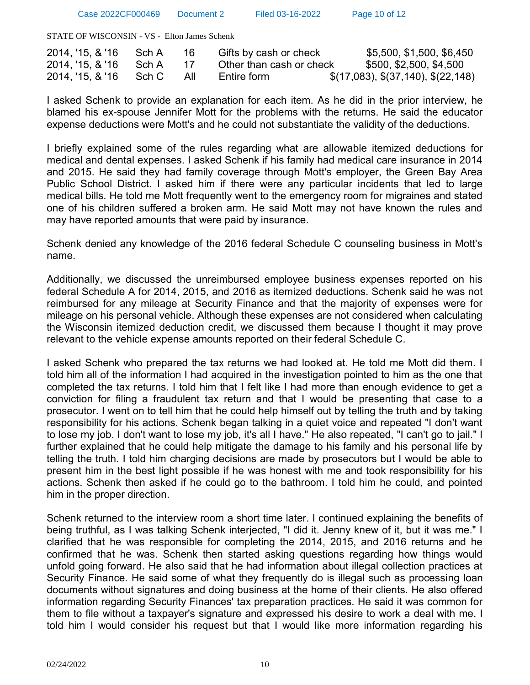Case 2022CF000469 Document 2 Filed 03-16-2022 Page 10 of 12

STATE OF WISCONSIN - VS - Elton James Schenk

| 2014, '15, & '16 | Sch A |     | Gifts by cash or check   | \$5,500, \$1,500, \$6,450          |
|------------------|-------|-----|--------------------------|------------------------------------|
| 2014, '15, & '16 | Sch A |     | Other than cash or check | \$500, \$2,500, \$4,500            |
| 2014, '15, & '16 | Sch C | All | Entire form              | \$(17,083), \$(37,140), \$(22,148) |

I asked Schenk to provide an explanation for each item. As he did in the prior interview, he blamed his ex-spouse Jennifer Mott for the problems with the returns. He said the educator expense deductions were Mott's and he could not substantiate the validity of the deductions.

I briefly explained some of the rules regarding what are allowable itemized deductions for medical and dental expenses. I asked Schenk if his family had medical care insurance in 2014 and 2015. He said they had family coverage through Mott's employer, the Green Bay Area Public School District. I asked him if there were any particular incidents that led to large medical bills. He told me Mott frequently went to the emergency room for migraines and stated one of his children suffered a broken arm. He said Mott may not have known the rules and may have reported amounts that were paid by insurance.

Schenk denied any knowledge of the 2016 federal Schedule C counseling business in Mott's name.

Additionally, we discussed the unreimbursed employee business expenses reported on his federal Schedule A for 2014, 2015, and 2016 as itemized deductions. Schenk said he was not reimbursed for any mileage at Security Finance and that the majority of expenses were for mileage on his personal vehicle. Although these expenses are not considered when calculating the Wisconsin itemized deduction credit, we discussed them because I thought it may prove relevant to the vehicle expense amounts reported on their federal Schedule C.

I asked Schenk who prepared the tax returns we had looked at. He told me Mott did them. I told him all of the information I had acquired in the investigation pointed to him as the one that completed the tax returns. I told him that I felt like I had more than enough evidence to get a conviction for filing a fraudulent tax return and that I would be presenting that case to a prosecutor. I went on to tell him that he could help himself out by telling the truth and by taking responsibility for his actions. Schenk began talking in a quiet voice and repeated "I don't want to lose my job. I don't want to lose my job, it's all I have." He also repeated, "I can't go to jail." I further explained that he could help mitigate the damage to his family and his personal life by telling the truth. I told him charging decisions are made by prosecutors but I would be able to present him in the best light possible if he was honest with me and took responsibility for his actions. Schenk then asked if he could go to the bathroom. I told him he could, and pointed him in the proper direction.

Schenk returned to the interview room a short time later. I continued explaining the benefits of being truthful, as I was talking Schenk interjected, "I did it. Jenny knew of it, but it was me." I clarified that he was responsible for completing the 2014, 2015, and 2016 returns and he confirmed that he was. Schenk then started asking questions regarding how things would unfold going forward. He also said that he had information about illegal collection practices at Security Finance. He said some of what they frequently do is illegal such as processing loan documents without signatures and doing business at the home of their clients. He also offered information regarding Security Finances' tax preparation practices. He said it was common for them to file without a taxpayer's signature and expressed his desire to work a deal with me. I told him I would consider his request but that I would like more information regarding his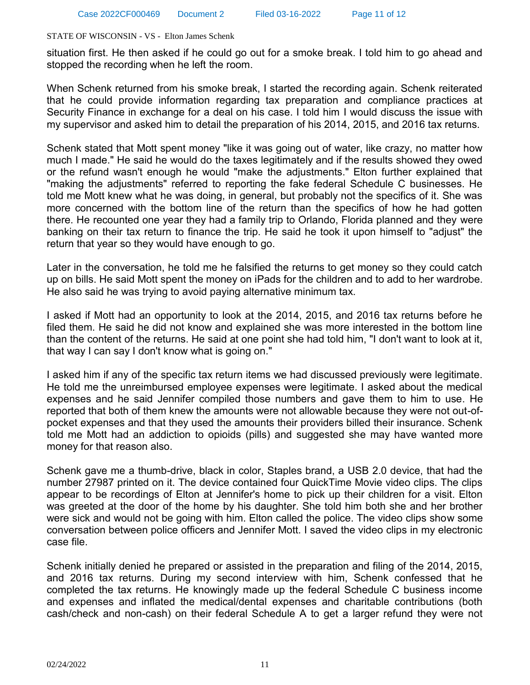situation first. He then asked if he could go out for a smoke break. I told him to go ahead and stopped the recording when he left the room.

When Schenk returned from his smoke break, I started the recording again. Schenk reiterated that he could provide information regarding tax preparation and compliance practices at Security Finance in exchange for a deal on his case. I told him I would discuss the issue with my supervisor and asked him to detail the preparation of his 2014, 2015, and 2016 tax returns.

Schenk stated that Mott spent money "like it was going out of water, like crazy, no matter how much I made." He said he would do the taxes legitimately and if the results showed they owed or the refund wasn't enough he would "make the adjustments." Elton further explained that "making the adjustments" referred to reporting the fake federal Schedule C businesses. He told me Mott knew what he was doing, in general, but probably not the specifics of it. She was more concerned with the bottom line of the return than the specifics of how he had gotten there. He recounted one year they had a family trip to Orlando, Florida planned and they were banking on their tax return to finance the trip. He said he took it upon himself to "adjust" the return that year so they would have enough to go.

Later in the conversation, he told me he falsified the returns to get money so they could catch up on bills. He said Mott spent the money on iPads for the children and to add to her wardrobe. He also said he was trying to avoid paying alternative minimum tax.

I asked if Mott had an opportunity to look at the 2014, 2015, and 2016 tax returns before he filed them. He said he did not know and explained she was more interested in the bottom line than the content of the returns. He said at one point she had told him, "I don't want to look at it, that way I can say I don't know what is going on."

I asked him if any of the specific tax return items we had discussed previously were legitimate. He told me the unreimbursed employee expenses were legitimate. I asked about the medical expenses and he said Jennifer compiled those numbers and gave them to him to use. He reported that both of them knew the amounts were not allowable because they were not out-ofpocket expenses and that they used the amounts their providers billed their insurance. Schenk told me Mott had an addiction to opioids (pills) and suggested she may have wanted more money for that reason also.

Schenk gave me a thumb-drive, black in color, Staples brand, a USB 2.0 device, that had the number 27987 printed on it. The device contained four QuickTime Movie video clips. The clips appear to be recordings of Elton at Jennifer's home to pick up their children for a visit. Elton was greeted at the door of the home by his daughter. She told him both she and her brother were sick and would not be going with him. Elton called the police. The video clips show some conversation between police officers and Jennifer Mott. I saved the video clips in my electronic case file.

Schenk initially denied he prepared or assisted in the preparation and filing of the 2014, 2015, and 2016 tax returns. During my second interview with him, Schenk confessed that he completed the tax returns. He knowingly made up the federal Schedule C business income and expenses and inflated the medical/dental expenses and charitable contributions (both cash/check and non-cash) on their federal Schedule A to get a larger refund they were not